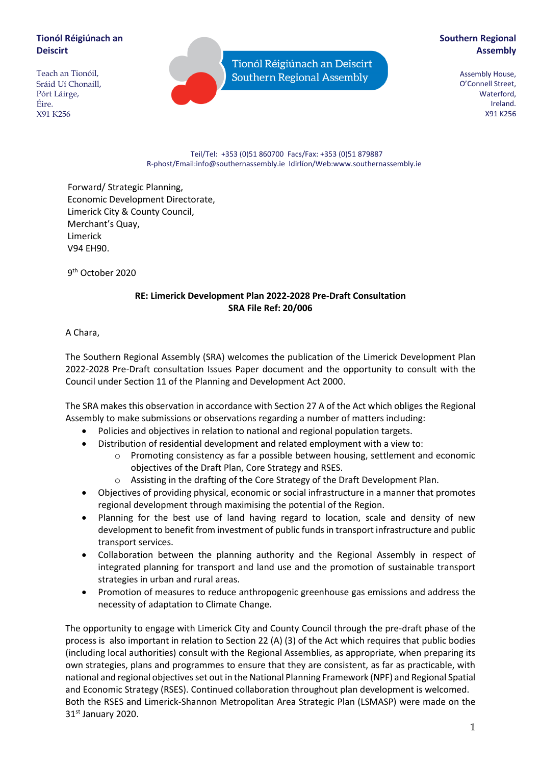## **Tionól Réigiúnach an Deiscirt**

Teach an Tionóil, Sráid Uí Chonaill, Pórt Láirge, Éire. X91 K256

Tionól Réigiúnach an Deiscirt Southern Regional Assembly

## **Southern Regional Assembly**

Assembly House, O'Connell Street, Waterford, Ireland. X91 K256

#### Teil/Tel: +353 (0)51 860700 Facs/Fax: +353 (0)51 879887 R-phost/Email:info@southernassembly.ie Idirlíon/Web:www.southernassembly.ie

Forward/ Strategic Planning, Economic Development Directorate, Limerick City & County Council, Merchant's Quay, Limerick V94 EH90.

9<sup>th</sup> October 2020

## **RE: Limerick Development Plan 2022-2028 Pre-Draft Consultation SRA File Ref: 20/006**

A Chara,

The Southern Regional Assembly (SRA) welcomes the publication of the Limerick Development Plan 2022-2028 Pre-Draft consultation Issues Paper document and the opportunity to consult with the Council under Section 11 of the Planning and Development Act 2000.

The SRA makes this observation in accordance with Section 27 A of the Act which obliges the Regional Assembly to make submissions or observations regarding a number of matters including:

- Policies and objectives in relation to national and regional population targets.
- Distribution of residential development and related employment with a view to:
	- o Promoting consistency as far a possible between housing, settlement and economic objectives of the Draft Plan, Core Strategy and RSES.
	- o Assisting in the drafting of the Core Strategy of the Draft Development Plan.
- Objectives of providing physical, economic or social infrastructure in a manner that promotes regional development through maximising the potential of the Region.
- Planning for the best use of land having regard to location, scale and density of new development to benefit from investment of public funds in transport infrastructure and public transport services.
- Collaboration between the planning authority and the Regional Assembly in respect of integrated planning for transport and land use and the promotion of sustainable transport strategies in urban and rural areas.
- Promotion of measures to reduce anthropogenic greenhouse gas emissions and address the necessity of adaptation to Climate Change.

The opportunity to engage with Limerick City and County Council through the pre-draft phase of the process is also important in relation to Section 22 (A) (3) of the Act which requires that public bodies (including local authorities) consult with the Regional Assemblies, as appropriate, when preparing its own strategies, plans and programmes to ensure that they are consistent, as far as practicable, with national and regional objectives set out in the National Planning Framework (NPF) and Regional Spatial and Economic Strategy (RSES). Continued collaboration throughout plan development is welcomed. Both the RSES and Limerick-Shannon Metropolitan Area Strategic Plan (LSMASP) were made on the 31st January 2020.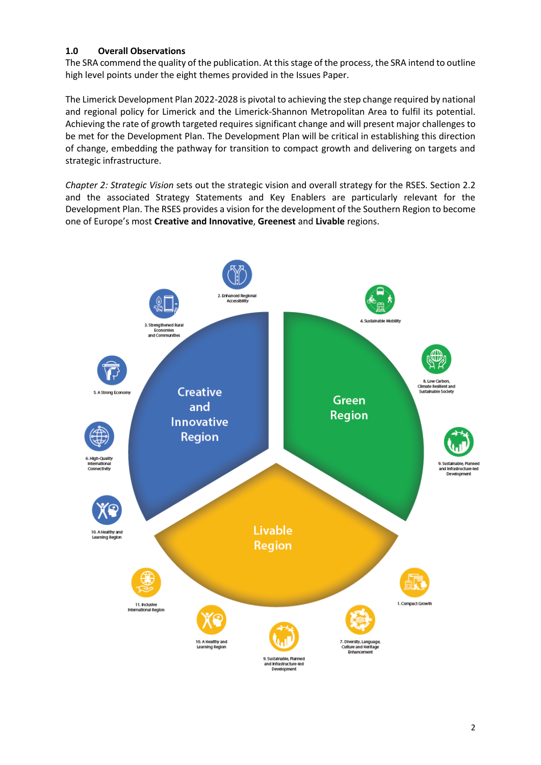## **1.0 Overall Observations**

The SRA commend the quality of the publication. At this stage of the process, the SRA intend to outline high level points under the eight themes provided in the Issues Paper.

The Limerick Development Plan 2022-2028 is pivotal to achieving the step change required by national and regional policy for Limerick and the Limerick-Shannon Metropolitan Area to fulfil its potential. Achieving the rate of growth targeted requires significant change and will present major challenges to be met for the Development Plan. The Development Plan will be critical in establishing this direction of change, embedding the pathway for transition to compact growth and delivering on targets and strategic infrastructure.

*Chapter 2: Strategic Vision* sets out the strategic vision and overall strategy for the RSES. Section 2.2 and the associated Strategy Statements and Key Enablers are particularly relevant for the Development Plan. The RSES provides a vision for the development of the Southern Region to become one of Europe's most **Creative and Innovative**, **Greenest** and **Livable** regions.

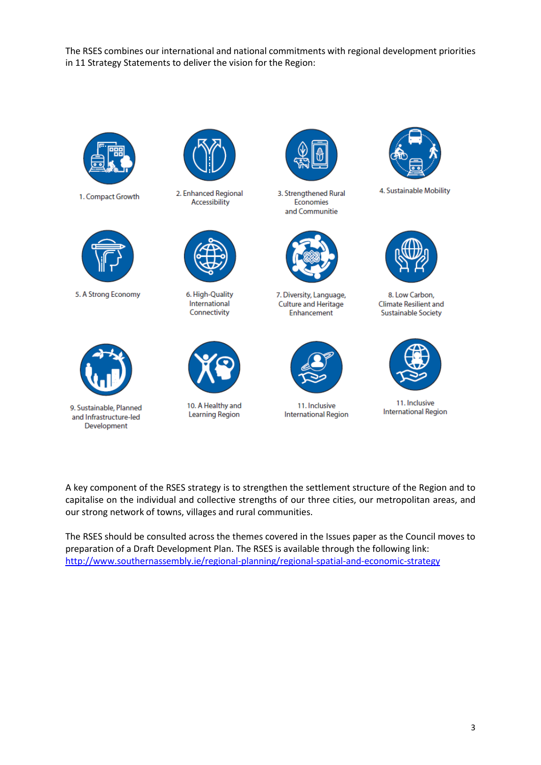The RSES combines our international and national commitments with regional development priorities in 11 Strategy Statements to deliver the vision for the Region:



1. Compact Growth



5. A Strong Economy



9. Sustainable, Planned and Infrastructure-led Development



2. Enhanced Regional Accessibility



6. High-Quality International Connectivity



10. A Healthy and **Learning Region** 



3. Strengthened Rural Economies and Communitie



7. Diversity, Language, Culture and Heritage Enhancement



11. Inclusive **International Region** 



4. Sustainable Mobility



8. Low Carbon, **Climate Resilient and Sustainable Society** 



11. Inclusive **International Region** 

A key component of the RSES strategy is to strengthen the settlement structure of the Region and to capitalise on the individual and collective strengths of our three cities, our metropolitan areas, and our strong network of towns, villages and rural communities.

The RSES should be consulted across the themes covered in the Issues paper as the Council moves to preparation of a Draft Development Plan. The RSES is available through the following link: <http://www.southernassembly.ie/regional-planning/regional-spatial-and-economic-strategy>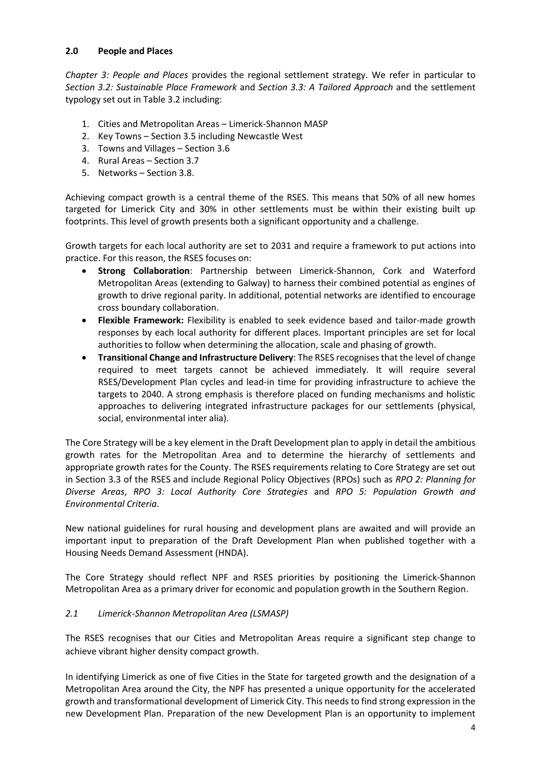## **2.0 People and Places**

*Chapter 3: People and Places* provides the regional settlement strategy. We refer in particular to *Section 3.2: Sustainable Place Framework* and *Section 3.3: A Tailored Approach* and the settlement typology set out in Table 3.2 including:

- 1. Cities and Metropolitan Areas Limerick-Shannon MASP
- 2. Key Towns Section 3.5 including Newcastle West
- 3. Towns and Villages Section 3.6
- 4. Rural Areas Section 3.7
- 5. Networks Section 3.8.

Achieving compact growth is a central theme of the RSES. This means that 50% of all new homes targeted for Limerick City and 30% in other settlements must be within their existing built up footprints. This level of growth presents both a significant opportunity and a challenge.

Growth targets for each local authority are set to 2031 and require a framework to put actions into practice. For this reason, the RSES focuses on:

- **Strong Collaboration**: Partnership between Limerick-Shannon, Cork and Waterford Metropolitan Areas (extending to Galway) to harness their combined potential as engines of growth to drive regional parity. In additional, potential networks are identified to encourage cross boundary collaboration.
- **Flexible Framework:** Flexibility is enabled to seek evidence based and tailor-made growth responses by each local authority for different places. Important principles are set for local authorities to follow when determining the allocation, scale and phasing of growth.
- **Transitional Change and Infrastructure Delivery**: The RSES recognises that the level of change required to meet targets cannot be achieved immediately. It will require several RSES/Development Plan cycles and lead-in time for providing infrastructure to achieve the targets to 2040. A strong emphasis is therefore placed on funding mechanisms and holistic approaches to delivering integrated infrastructure packages for our settlements (physical, social, environmental inter alia).

The Core Strategy will be a key element in the Draft Development plan to apply in detail the ambitious growth rates for the Metropolitan Area and to determine the hierarchy of settlements and appropriate growth rates for the County. The RSES requirements relating to Core Strategy are set out in Section 3.3 of the RSES and include Regional Policy Objectives (RPOs) such as *RPO 2: Planning for Diverse Areas*, *RPO 3: Local Authority Core Strategies* and *RPO 5: Population Growth and Environmental Criteria*.

New national guidelines for rural housing and development plans are awaited and will provide an important input to preparation of the Draft Development Plan when published together with a Housing Needs Demand Assessment (HNDA).

The Core Strategy should reflect NPF and RSES priorities by positioning the Limerick-Shannon Metropolitan Area as a primary driver for economic and population growth in the Southern Region.

## *2.1 Limerick-Shannon Metropolitan Area (LSMASP)*

The RSES recognises that our Cities and Metropolitan Areas require a significant step change to achieve vibrant higher density compact growth.

In identifying Limerick as one of five Cities in the State for targeted growth and the designation of a Metropolitan Area around the City, the NPF has presented a unique opportunity for the accelerated growth and transformational development of Limerick City. This needs to find strong expression in the new Development Plan. Preparation of the new Development Plan is an opportunity to implement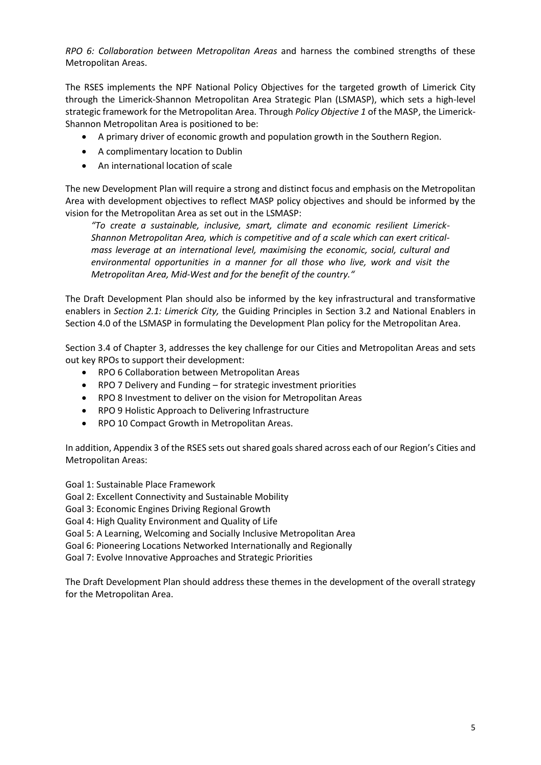*RPO 6: Collaboration between Metropolitan Areas* and harness the combined strengths of these Metropolitan Areas.

The RSES implements the NPF National Policy Objectives for the targeted growth of Limerick City through the Limerick-Shannon Metropolitan Area Strategic Plan (LSMASP), which sets a high-level strategic framework for the Metropolitan Area. Through *Policy Objective 1* of the MASP, the Limerick-Shannon Metropolitan Area is positioned to be:

- A primary driver of economic growth and population growth in the Southern Region.
- A complimentary location to Dublin
- An international location of scale

The new Development Plan will require a strong and distinct focus and emphasis on the Metropolitan Area with development objectives to reflect MASP policy objectives and should be informed by the vision for the Metropolitan Area as set out in the LSMASP:

*"To create a sustainable, inclusive, smart, climate and economic resilient Limerick-Shannon Metropolitan Area, which is competitive and of a scale which can exert criticalmass leverage at an international level, maximising the economic, social, cultural and environmental opportunities in a manner for all those who live, work and visit the Metropolitan Area, Mid-West and for the benefit of the country."*

The Draft Development Plan should also be informed by the key infrastructural and transformative enablers in *Section 2.1: Limerick City,* the Guiding Principles in Section 3.2 and National Enablers in Section 4.0 of the LSMASP in formulating the Development Plan policy for the Metropolitan Area.

Section 3.4 of Chapter 3, addresses the key challenge for our Cities and Metropolitan Areas and sets out key RPOs to support their development:

- RPO 6 Collaboration between Metropolitan Areas
- RPO 7 Delivery and Funding for strategic investment priorities
- RPO 8 Investment to deliver on the vision for Metropolitan Areas
- RPO 9 Holistic Approach to Delivering Infrastructure
- RPO 10 Compact Growth in Metropolitan Areas.

In addition, Appendix 3 of the RSES sets out shared goals shared across each of our Region's Cities and Metropolitan Areas:

Goal 1: Sustainable Place Framework

Goal 2: Excellent Connectivity and Sustainable Mobility

Goal 3: Economic Engines Driving Regional Growth

Goal 4: High Quality Environment and Quality of Life

Goal 5: A Learning, Welcoming and Socially Inclusive Metropolitan Area

Goal 6: Pioneering Locations Networked Internationally and Regionally

Goal 7: Evolve Innovative Approaches and Strategic Priorities

The Draft Development Plan should address these themes in the development of the overall strategy for the Metropolitan Area.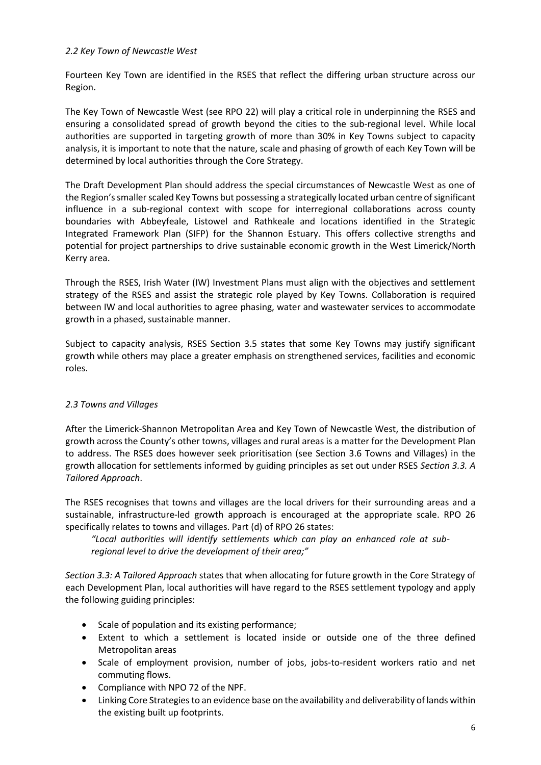### *2.2 Key Town of Newcastle West*

Fourteen Key Town are identified in the RSES that reflect the differing urban structure across our Region.

The Key Town of Newcastle West (see RPO 22) will play a critical role in underpinning the RSES and ensuring a consolidated spread of growth beyond the cities to the sub-regional level. While local authorities are supported in targeting growth of more than 30% in Key Towns subject to capacity analysis, it is important to note that the nature, scale and phasing of growth of each Key Town will be determined by local authorities through the Core Strategy.

The Draft Development Plan should address the special circumstances of Newcastle West as one of the Region's smaller scaled Key Towns but possessing a strategically located urban centre of significant influence in a sub-regional context with scope for interregional collaborations across county boundaries with Abbeyfeale, Listowel and Rathkeale and locations identified in the Strategic Integrated Framework Plan (SIFP) for the Shannon Estuary. This offers collective strengths and potential for project partnerships to drive sustainable economic growth in the West Limerick/North Kerry area.

Through the RSES, Irish Water (IW) Investment Plans must align with the objectives and settlement strategy of the RSES and assist the strategic role played by Key Towns. Collaboration is required between IW and local authorities to agree phasing, water and wastewater services to accommodate growth in a phased, sustainable manner.

Subject to capacity analysis, RSES Section 3.5 states that some Key Towns may justify significant growth while others may place a greater emphasis on strengthened services, facilities and economic roles.

## *2.3 Towns and Villages*

After the Limerick-Shannon Metropolitan Area and Key Town of Newcastle West, the distribution of growth across the County's other towns, villages and rural areas is a matter for the Development Plan to address. The RSES does however seek prioritisation (see Section 3.6 Towns and Villages) in the growth allocation for settlements informed by guiding principles as set out under RSES *Section 3.3. A Tailored Approach*.

The RSES recognises that towns and villages are the local drivers for their surrounding areas and a sustainable, infrastructure-led growth approach is encouraged at the appropriate scale. RPO 26 specifically relates to towns and villages. Part (d) of RPO 26 states:

*"Local authorities will identify settlements which can play an enhanced role at subregional level to drive the development of their area;"*

*Section 3.3: A Tailored Approach* states that when allocating for future growth in the Core Strategy of each Development Plan, local authorities will have regard to the RSES settlement typology and apply the following guiding principles:

- Scale of population and its existing performance;
- Extent to which a settlement is located inside or outside one of the three defined Metropolitan areas
- Scale of employment provision, number of jobs, jobs-to-resident workers ratio and net commuting flows.
- Compliance with NPO 72 of the NPF.
- Linking Core Strategies to an evidence base on the availability and deliverability of lands within the existing built up footprints.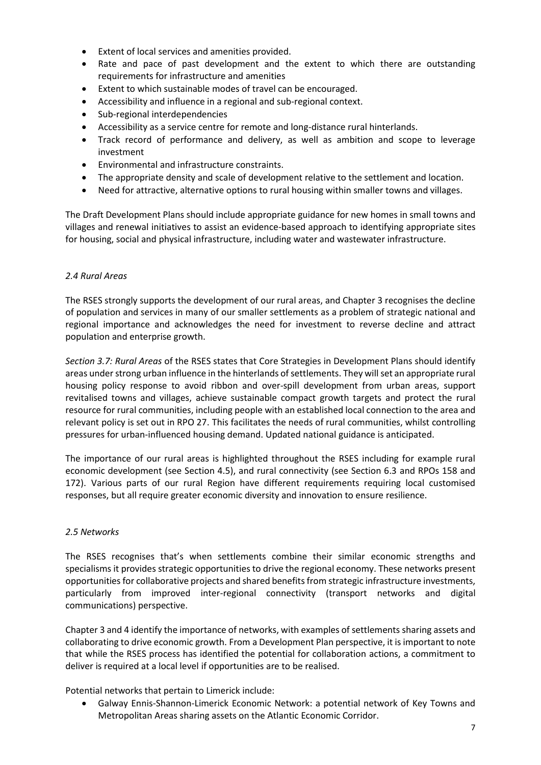- Extent of local services and amenities provided.
- Rate and pace of past development and the extent to which there are outstanding requirements for infrastructure and amenities
- Extent to which sustainable modes of travel can be encouraged.
- Accessibility and influence in a regional and sub-regional context.
- Sub-regional interdependencies
- Accessibility as a service centre for remote and long-distance rural hinterlands.
- Track record of performance and delivery, as well as ambition and scope to leverage investment
- Environmental and infrastructure constraints.
- The appropriate density and scale of development relative to the settlement and location.
- Need for attractive, alternative options to rural housing within smaller towns and villages.

The Draft Development Plans should include appropriate guidance for new homes in small towns and villages and renewal initiatives to assist an evidence-based approach to identifying appropriate sites for housing, social and physical infrastructure, including water and wastewater infrastructure.

### *2.4 Rural Areas*

The RSES strongly supports the development of our rural areas, and Chapter 3 recognises the decline of population and services in many of our smaller settlements as a problem of strategic national and regional importance and acknowledges the need for investment to reverse decline and attract population and enterprise growth.

*Section 3.7: Rural Areas* of the RSES states that Core Strategies in Development Plans should identify areas under strong urban influence in the hinterlands of settlements. They will set an appropriate rural housing policy response to avoid ribbon and over-spill development from urban areas, support revitalised towns and villages, achieve sustainable compact growth targets and protect the rural resource for rural communities, including people with an established local connection to the area and relevant policy is set out in RPO 27. This facilitates the needs of rural communities, whilst controlling pressures for urban-influenced housing demand. Updated national guidance is anticipated.

The importance of our rural areas is highlighted throughout the RSES including for example rural economic development (see Section 4.5), and rural connectivity (see Section 6.3 and RPOs 158 and 172). Various parts of our rural Region have different requirements requiring local customised responses, but all require greater economic diversity and innovation to ensure resilience.

## *2.5 Networks*

The RSES recognises that's when settlements combine their similar economic strengths and specialisms it provides strategic opportunities to drive the regional economy. These networks present opportunities for collaborative projects and shared benefits from strategic infrastructure investments, particularly from improved inter-regional connectivity (transport networks and digital communications) perspective.

Chapter 3 and 4 identify the importance of networks, with examples of settlements sharing assets and collaborating to drive economic growth. From a Development Plan perspective, it is important to note that while the RSES process has identified the potential for collaboration actions, a commitment to deliver is required at a local level if opportunities are to be realised.

Potential networks that pertain to Limerick include:

• Galway Ennis-Shannon-Limerick Economic Network: a potential network of Key Towns and Metropolitan Areas sharing assets on the Atlantic Economic Corridor.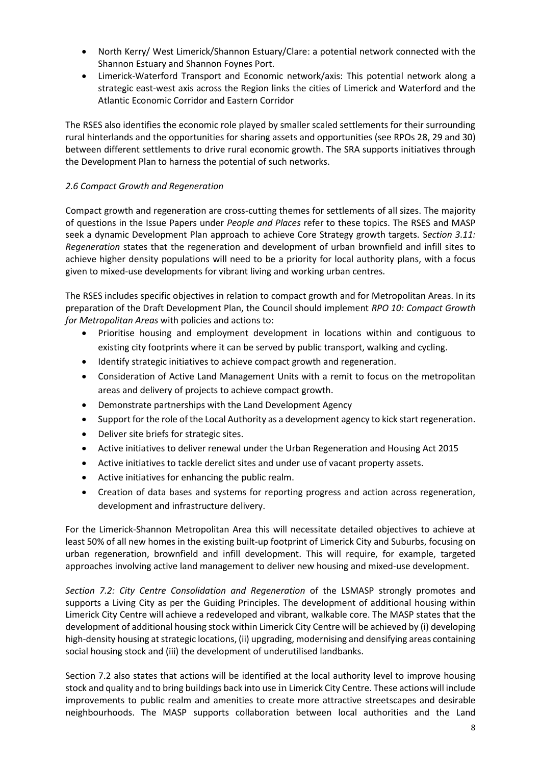- North Kerry/ West Limerick/Shannon Estuary/Clare: a potential network connected with the Shannon Estuary and Shannon Foynes Port.
- Limerick-Waterford Transport and Economic network/axis: This potential network along a strategic east-west axis across the Region links the cities of Limerick and Waterford and the Atlantic Economic Corridor and Eastern Corridor

The RSES also identifies the economic role played by smaller scaled settlements for their surrounding rural hinterlands and the opportunities for sharing assets and opportunities (see RPOs 28, 29 and 30) between different settlements to drive rural economic growth. The SRA supports initiatives through the Development Plan to harness the potential of such networks.

## *2.6 Compact Growth and Regeneration*

Compact growth and regeneration are cross-cutting themes for settlements of all sizes. The majority of questions in the Issue Papers under *People and Places* refer to these topics. The RSES and MASP seek a dynamic Development Plan approach to achieve Core Strategy growth targets. S*ection 3.11: Regeneration* states that the regeneration and development of urban brownfield and infill sites to achieve higher density populations will need to be a priority for local authority plans, with a focus given to mixed-use developments for vibrant living and working urban centres.

The RSES includes specific objectives in relation to compact growth and for Metropolitan Areas. In its preparation of the Draft Development Plan, the Council should implement *RPO 10: Compact Growth for Metropolitan Areas* with policies and actions to:

- Prioritise housing and employment development in locations within and contiguous to existing city footprints where it can be served by public transport, walking and cycling.
- Identify strategic initiatives to achieve compact growth and regeneration.
- Consideration of Active Land Management Units with a remit to focus on the metropolitan areas and delivery of projects to achieve compact growth.
- Demonstrate partnerships with the Land Development Agency
- Support for the role of the Local Authority as a development agency to kick start regeneration.
- Deliver site briefs for strategic sites.
- Active initiatives to deliver renewal under the Urban Regeneration and Housing Act 2015
- Active initiatives to tackle derelict sites and under use of vacant property assets.
- Active initiatives for enhancing the public realm.
- Creation of data bases and systems for reporting progress and action across regeneration, development and infrastructure delivery.

For the Limerick-Shannon Metropolitan Area this will necessitate detailed objectives to achieve at least 50% of all new homes in the existing built-up footprint of Limerick City and Suburbs, focusing on urban regeneration, brownfield and infill development. This will require, for example, targeted approaches involving active land management to deliver new housing and mixed-use development.

*Section 7.2: City Centre Consolidation and Regeneration* of the LSMASP strongly promotes and supports a Living City as per the Guiding Principles. The development of additional housing within Limerick City Centre will achieve a redeveloped and vibrant, walkable core. The MASP states that the development of additional housing stock within Limerick City Centre will be achieved by (i) developing high-density housing at strategic locations, (ii) upgrading, modernising and densifying areas containing social housing stock and (iii) the development of underutilised landbanks.

Section 7.2 also states that actions will be identified at the local authority level to improve housing stock and quality and to bring buildings back into use in Limerick City Centre. These actions will include improvements to public realm and amenities to create more attractive streetscapes and desirable neighbourhoods. The MASP supports collaboration between local authorities and the Land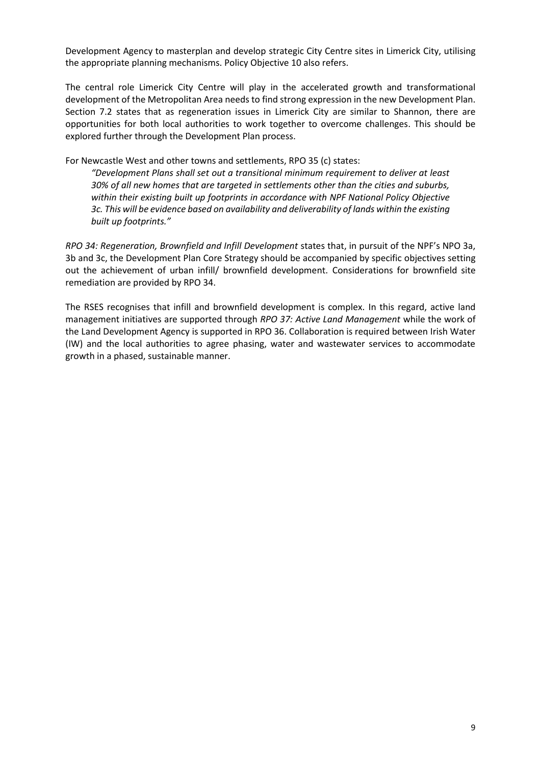Development Agency to masterplan and develop strategic City Centre sites in Limerick City, utilising the appropriate planning mechanisms. Policy Objective 10 also refers.

The central role Limerick City Centre will play in the accelerated growth and transformational development of the Metropolitan Area needs to find strong expression in the new Development Plan. Section 7.2 states that as regeneration issues in Limerick City are similar to Shannon, there are opportunities for both local authorities to work together to overcome challenges. This should be explored further through the Development Plan process.

For Newcastle West and other towns and settlements, RPO 35 (c) states:

*"Development Plans shall set out a transitional minimum requirement to deliver at least 30% of all new homes that are targeted in settlements other than the cities and suburbs, within their existing built up footprints in accordance with NPF National Policy Objective 3c. This will be evidence based on availability and deliverability of lands within the existing built up footprints."*

*RPO 34: Regeneration, Brownfield and Infill Development* states that, in pursuit of the NPF's NPO 3a, 3b and 3c, the Development Plan Core Strategy should be accompanied by specific objectives setting out the achievement of urban infill/ brownfield development. Considerations for brownfield site remediation are provided by RPO 34.

The RSES recognises that infill and brownfield development is complex. In this regard, active land management initiatives are supported through *RPO 37: Active Land Management* while the work of the Land Development Agency is supported in RPO 36. Collaboration is required between Irish Water (IW) and the local authorities to agree phasing, water and wastewater services to accommodate growth in a phased, sustainable manner.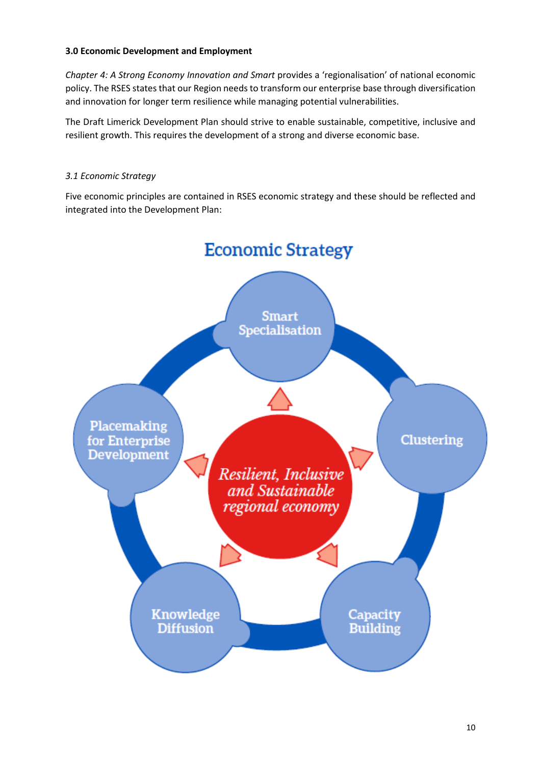## **3.0 Economic Development and Employment**

*Chapter 4: A Strong Economy Innovation and Smart* provides a 'regionalisation' of national economic policy. The RSES states that our Region needs to transform our enterprise base through diversification and innovation for longer term resilience while managing potential vulnerabilities.

The Draft Limerick Development Plan should strive to enable sustainable, competitive, inclusive and resilient growth. This requires the development of a strong and diverse economic base.

## *3.1 Economic Strategy*

Five economic principles are contained in RSES economic strategy and these should be reflected and integrated into the Development Plan:

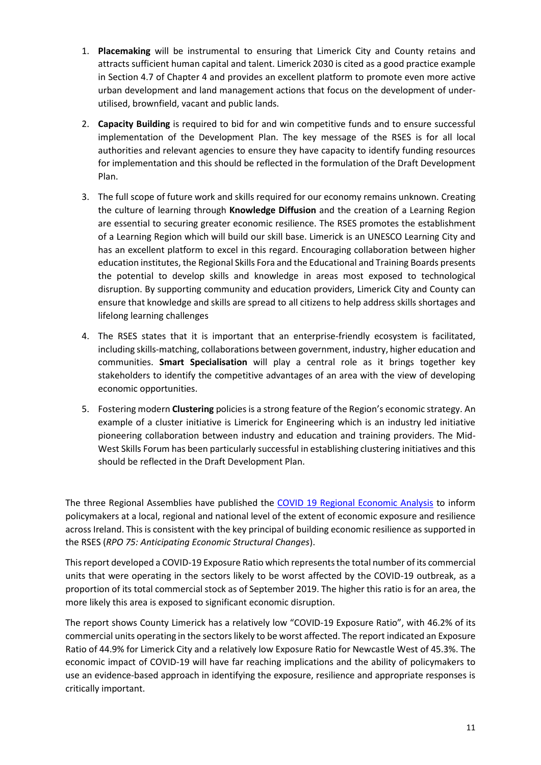- 1. **Placemaking** will be instrumental to ensuring that Limerick City and County retains and attracts sufficient human capital and talent. Limerick 2030 is cited as a good practice example in Section 4.7 of Chapter 4 and provides an excellent platform to promote even more active urban development and land management actions that focus on the development of underutilised, brownfield, vacant and public lands.
- 2. **Capacity Building** is required to bid for and win competitive funds and to ensure successful implementation of the Development Plan. The key message of the RSES is for all local authorities and relevant agencies to ensure they have capacity to identify funding resources for implementation and this should be reflected in the formulation of the Draft Development Plan.
- 3. The full scope of future work and skills required for our economy remains unknown. Creating the culture of learning through **Knowledge Diffusion** and the creation of a Learning Region are essential to securing greater economic resilience. The RSES promotes the establishment of a Learning Region which will build our skill base. Limerick is an UNESCO Learning City and has an excellent platform to excel in this regard. Encouraging collaboration between higher education institutes, the Regional Skills Fora and the Educational and Training Boards presents the potential to develop skills and knowledge in areas most exposed to technological disruption. By supporting community and education providers, Limerick City and County can ensure that knowledge and skills are spread to all citizens to help address skills shortages and lifelong learning challenges
- 4. The RSES states that it is important that an enterprise-friendly ecosystem is facilitated, including skills-matching, collaborations between government, industry, higher education and communities. **Smart Specialisation** will play a central role as it brings together key stakeholders to identify the competitive advantages of an area with the view of developing economic opportunities.
- 5. Fostering modern **Clustering** policies is a strong feature of the Region's economic strategy. An example of a cluster initiative is Limerick for Engineering which is an industry led initiative pioneering collaboration between industry and education and training providers. The Mid-West Skills Forum has been particularly successful in establishing clustering initiatives and this should be reflected in the Draft Development Plan.

The three Regional Assemblies have published the [COVID 19 Regional Economic Analysis](https://www.southernassembly.ie/uploads/general-files/CV19-Regional-Economic-Analysis.pdf) to inform policymakers at a local, regional and national level of the extent of economic exposure and resilience across Ireland. This is consistent with the key principal of building economic resilience as supported in the RSES (*RPO 75: Anticipating Economic Structural Changes*).

This report developed a COVID-19 Exposure Ratio which represents the total number of its commercial units that were operating in the sectors likely to be worst affected by the COVID-19 outbreak, as a proportion of its total commercial stock as of September 2019. The higher this ratio is for an area, the more likely this area is exposed to significant economic disruption.

The report shows County Limerick has a relatively low "COVID-19 Exposure Ratio", with 46.2% of its commercial units operating in the sectors likely to be worst affected. The report indicated an Exposure Ratio of 44.9% for Limerick City and a relatively low Exposure Ratio for Newcastle West of 45.3%. The economic impact of COVID-19 will have far reaching implications and the ability of policymakers to use an evidence-based approach in identifying the exposure, resilience and appropriate responses is critically important.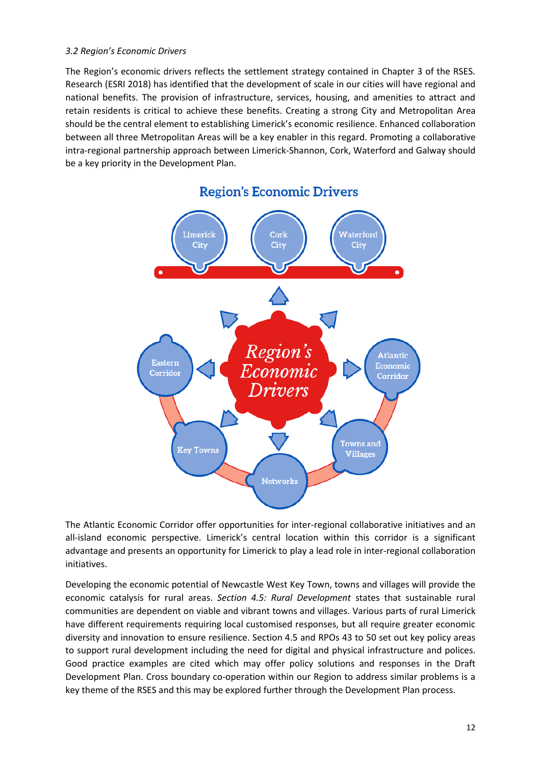### *3.2 Region's Economic Drivers*

The Region's economic drivers reflects the settlement strategy contained in Chapter 3 of the RSES. Research (ESRI 2018) has identified that the development of scale in our cities will have regional and national benefits. The provision of infrastructure, services, housing, and amenities to attract and retain residents is critical to achieve these benefits. Creating a strong City and Metropolitan Area should be the central element to establishing Limerick's economic resilience. Enhanced collaboration between all three Metropolitan Areas will be a key enabler in this regard. Promoting a collaborative intra-regional partnership approach between Limerick-Shannon, Cork, Waterford and Galway should be a key priority in the Development Plan.



## **Region's Economic Drivers**

The Atlantic Economic Corridor offer opportunities for inter-regional collaborative initiatives and an all-island economic perspective. Limerick's central location within this corridor is a significant advantage and presents an opportunity for Limerick to play a lead role in inter-regional collaboration initiatives.

Developing the economic potential of Newcastle West Key Town, towns and villages will provide the economic catalysis for rural areas. *Section 4.5: Rural Development* states that sustainable rural communities are dependent on viable and vibrant towns and villages. Various parts of rural Limerick have different requirements requiring local customised responses, but all require greater economic diversity and innovation to ensure resilience. Section 4.5 and RPOs 43 to 50 set out key policy areas to support rural development including the need for digital and physical infrastructure and polices. Good practice examples are cited which may offer policy solutions and responses in the Draft Development Plan. Cross boundary co-operation within our Region to address similar problems is a key theme of the RSES and this may be explored further through the Development Plan process.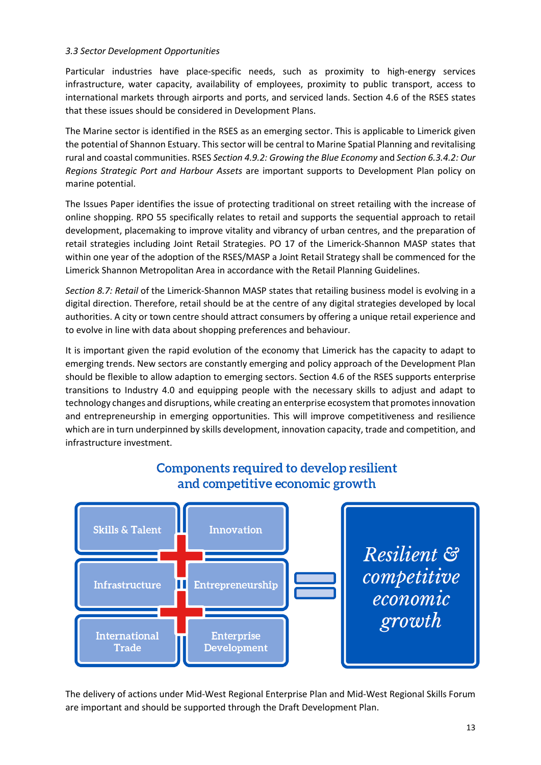## *3.3 Sector Development Opportunities*

Particular industries have place-specific needs, such as proximity to high-energy services infrastructure, water capacity, availability of employees, proximity to public transport, access to international markets through airports and ports, and serviced lands. Section 4.6 of the RSES states that these issues should be considered in Development Plans.

The Marine sector is identified in the RSES as an emerging sector. This is applicable to Limerick given the potential of Shannon Estuary. Thissector will be central to Marine Spatial Planning and revitalising rural and coastal communities. RSES *Section 4.9.2: Growing the Blue Economy* and *Section 6.3.4.2: Our Regions Strategic Port and Harbour Assets* are important supports to Development Plan policy on marine potential.

The Issues Paper identifies the issue of protecting traditional on street retailing with the increase of online shopping. RPO 55 specifically relates to retail and supports the sequential approach to retail development, placemaking to improve vitality and vibrancy of urban centres, and the preparation of retail strategies including Joint Retail Strategies. PO 17 of the Limerick-Shannon MASP states that within one year of the adoption of the RSES/MASP a Joint Retail Strategy shall be commenced for the Limerick Shannon Metropolitan Area in accordance with the Retail Planning Guidelines.

*Section 8.7: Retail* of the Limerick-Shannon MASP states that retailing business model is evolving in a digital direction. Therefore, retail should be at the centre of any digital strategies developed by local authorities. A city or town centre should attract consumers by offering a unique retail experience and to evolve in line with data about shopping preferences and behaviour.

It is important given the rapid evolution of the economy that Limerick has the capacity to adapt to emerging trends. New sectors are constantly emerging and policy approach of the Development Plan should be flexible to allow adaption to emerging sectors. Section 4.6 of the RSES supports enterprise transitions to Industry 4.0 and equipping people with the necessary skills to adjust and adapt to technology changes and disruptions, while creating an enterprise ecosystem that promotes innovation and entrepreneurship in emerging opportunities. This will improve competitiveness and resilience which are in turn underpinned by skills development, innovation capacity, trade and competition, and infrastructure investment.



# Components required to develop resilient and competitive economic growth

The delivery of actions under Mid-West Regional Enterprise Plan and Mid-West Regional Skills Forum are important and should be supported through the Draft Development Plan.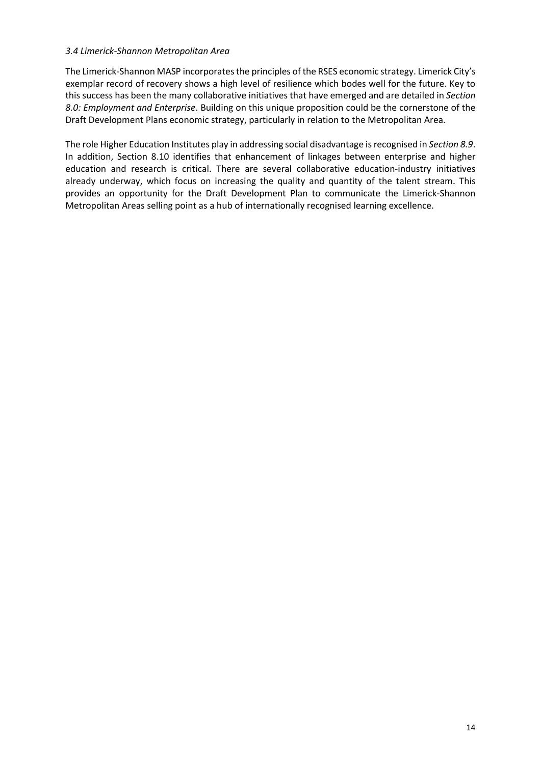### *3.4 Limerick-Shannon Metropolitan Area*

The Limerick-Shannon MASP incorporates the principles of the RSES economic strategy. Limerick City's exemplar record of recovery shows a high level of resilience which bodes well for the future. Key to this success has been the many collaborative initiatives that have emerged and are detailed in *Section 8.0: Employment and Enterprise*. Building on this unique proposition could be the cornerstone of the Draft Development Plans economic strategy, particularly in relation to the Metropolitan Area.

The role Higher Education Institutes play in addressing social disadvantage is recognised in *Section 8.9*. In addition, Section 8.10 identifies that enhancement of linkages between enterprise and higher education and research is critical. There are several collaborative education-industry initiatives already underway, which focus on increasing the quality and quantity of the talent stream. This provides an opportunity for the Draft Development Plan to communicate the Limerick-Shannon Metropolitan Areas selling point as a hub of internationally recognised learning excellence.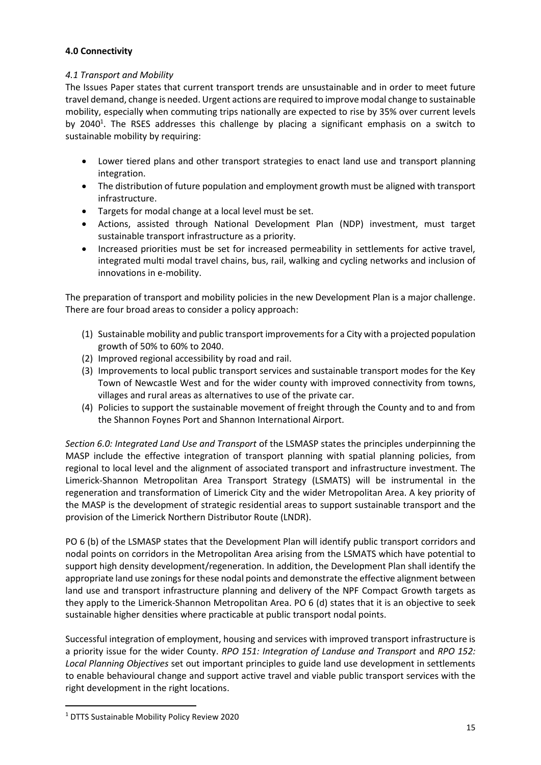## **4.0 Connectivity**

## *4.1 Transport and Mobility*

The Issues Paper states that current transport trends are unsustainable and in order to meet future travel demand, change is needed. Urgent actions are required to improve modal change to sustainable mobility, especially when commuting trips nationally are expected to rise by 35% over current levels by 2040<sup>1</sup>. The RSES addresses this challenge by placing a significant emphasis on a switch to sustainable mobility by requiring:

- Lower tiered plans and other transport strategies to enact land use and transport planning integration.
- The distribution of future population and employment growth must be aligned with transport infrastructure.
- Targets for modal change at a local level must be set.
- Actions, assisted through National Development Plan (NDP) investment, must target sustainable transport infrastructure as a priority.
- Increased priorities must be set for increased permeability in settlements for active travel, integrated multi modal travel chains, bus, rail, walking and cycling networks and inclusion of innovations in e-mobility.

The preparation of transport and mobility policies in the new Development Plan is a major challenge. There are four broad areas to consider a policy approach:

- (1) Sustainable mobility and public transport improvements for a City with a projected population growth of 50% to 60% to 2040.
- (2) Improved regional accessibility by road and rail.
- (3) Improvements to local public transport services and sustainable transport modes for the Key Town of Newcastle West and for the wider county with improved connectivity from towns, villages and rural areas as alternatives to use of the private car.
- (4) Policies to support the sustainable movement of freight through the County and to and from the Shannon Foynes Port and Shannon International Airport.

*Section 6.0: Integrated Land Use and Transport* of the LSMASP states the principles underpinning the MASP include the effective integration of transport planning with spatial planning policies, from regional to local level and the alignment of associated transport and infrastructure investment. The Limerick-Shannon Metropolitan Area Transport Strategy (LSMATS) will be instrumental in the regeneration and transformation of Limerick City and the wider Metropolitan Area. A key priority of the MASP is the development of strategic residential areas to support sustainable transport and the provision of the Limerick Northern Distributor Route (LNDR).

PO 6 (b) of the LSMASP states that the Development Plan will identify public transport corridors and nodal points on corridors in the Metropolitan Area arising from the LSMATS which have potential to support high density development/regeneration. In addition, the Development Plan shall identify the appropriate land use zonings for these nodal points and demonstrate the effective alignment between land use and transport infrastructure planning and delivery of the NPF Compact Growth targets as they apply to the Limerick-Shannon Metropolitan Area. PO 6 (d) states that it is an objective to seek sustainable higher densities where practicable at public transport nodal points.

Successful integration of employment, housing and services with improved transport infrastructure is a priority issue for the wider County. *RPO 151: Integration of Landuse and Transport* and *RPO 152: Local Planning Objectives* set out important principles to guide land use development in settlements to enable behavioural change and support active travel and viable public transport services with the right development in the right locations.

<sup>1</sup> DTTS Sustainable Mobility Policy Review 2020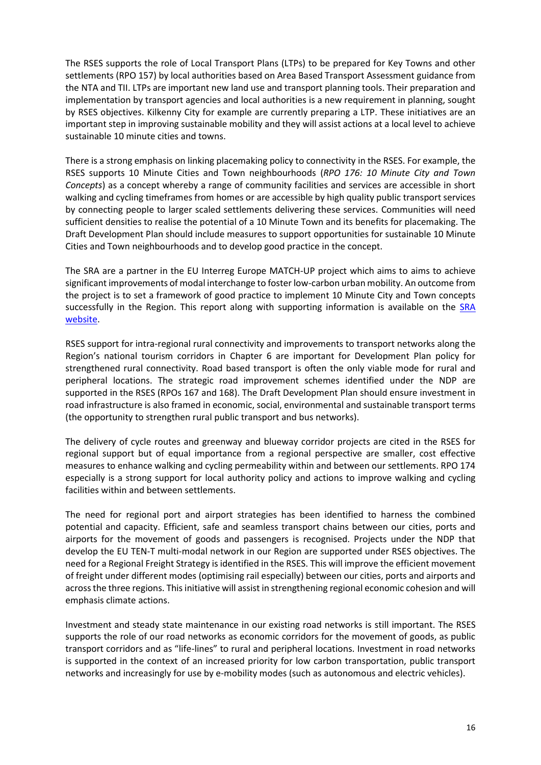The RSES supports the role of Local Transport Plans (LTPs) to be prepared for Key Towns and other settlements (RPO 157) by local authorities based on Area Based Transport Assessment guidance from the NTA and TII. LTPs are important new land use and transport planning tools. Their preparation and implementation by transport agencies and local authorities is a new requirement in planning, sought by RSES objectives. Kilkenny City for example are currently preparing a LTP. These initiatives are an important step in improving sustainable mobility and they will assist actions at a local level to achieve sustainable 10 minute cities and towns.

There is a strong emphasis on linking placemaking policy to connectivity in the RSES. For example, the RSES supports 10 Minute Cities and Town neighbourhoods (*RPO 176: 10 Minute City and Town Concepts*) as a concept whereby a range of community facilities and services are accessible in short walking and cycling timeframes from homes or are accessible by high quality public transport services by connecting people to larger scaled settlements delivering these services. Communities will need sufficient densities to realise the potential of a 10 Minute Town and its benefits for placemaking. The Draft Development Plan should include measures to support opportunities for sustainable 10 Minute Cities and Town neighbourhoods and to develop good practice in the concept.

The SRA are a partner in the EU Interreg Europe MATCH-UP project which aims to aims to achieve significant improvements of modal interchange to foster low-carbon urban mobility. An outcome from the project is to set a framework of good practice to implement 10 Minute City and Town concepts successfully in the Region. This report along with supporting information is available on the [SRA](https://www.southernassembly.ie/regional-planning/rses-implementation/10-minute-towns)  [website.](https://www.southernassembly.ie/regional-planning/rses-implementation/10-minute-towns)

RSES support for intra-regional rural connectivity and improvements to transport networks along the Region's national tourism corridors in Chapter 6 are important for Development Plan policy for strengthened rural connectivity. Road based transport is often the only viable mode for rural and peripheral locations. The strategic road improvement schemes identified under the NDP are supported in the RSES (RPOs 167 and 168). The Draft Development Plan should ensure investment in road infrastructure is also framed in economic, social, environmental and sustainable transport terms (the opportunity to strengthen rural public transport and bus networks).

The delivery of cycle routes and greenway and blueway corridor projects are cited in the RSES for regional support but of equal importance from a regional perspective are smaller, cost effective measures to enhance walking and cycling permeability within and between our settlements. RPO 174 especially is a strong support for local authority policy and actions to improve walking and cycling facilities within and between settlements.

The need for regional port and airport strategies has been identified to harness the combined potential and capacity. Efficient, safe and seamless transport chains between our cities, ports and airports for the movement of goods and passengers is recognised. Projects under the NDP that develop the EU TEN-T multi-modal network in our Region are supported under RSES objectives. The need for a Regional Freight Strategy is identified in the RSES. This will improve the efficient movement of freight under different modes (optimising rail especially) between our cities, ports and airports and across the three regions. This initiative will assist in strengthening regional economic cohesion and will emphasis climate actions.

Investment and steady state maintenance in our existing road networks is still important. The RSES supports the role of our road networks as economic corridors for the movement of goods, as public transport corridors and as "life-lines" to rural and peripheral locations. Investment in road networks is supported in the context of an increased priority for low carbon transportation, public transport networks and increasingly for use by e-mobility modes (such as autonomous and electric vehicles).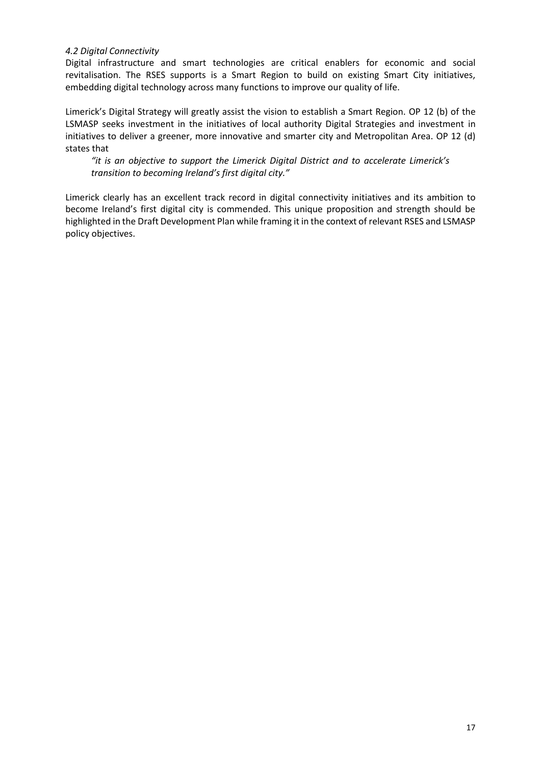### *4.2 Digital Connectivity*

Digital infrastructure and smart technologies are critical enablers for economic and social revitalisation. The RSES supports is a Smart Region to build on existing Smart City initiatives, embedding digital technology across many functions to improve our quality of life.

Limerick's Digital Strategy will greatly assist the vision to establish a Smart Region. OP 12 (b) of the LSMASP seeks investment in the initiatives of local authority Digital Strategies and investment in initiatives to deliver a greener, more innovative and smarter city and Metropolitan Area. OP 12 (d) states that

*"it is an objective to support the Limerick Digital District and to accelerate Limerick's transition to becoming Ireland's first digital city."*

Limerick clearly has an excellent track record in digital connectivity initiatives and its ambition to become Ireland's first digital city is commended. This unique proposition and strength should be highlighted in the Draft Development Plan while framing it in the context of relevant RSES and LSMASP policy objectives.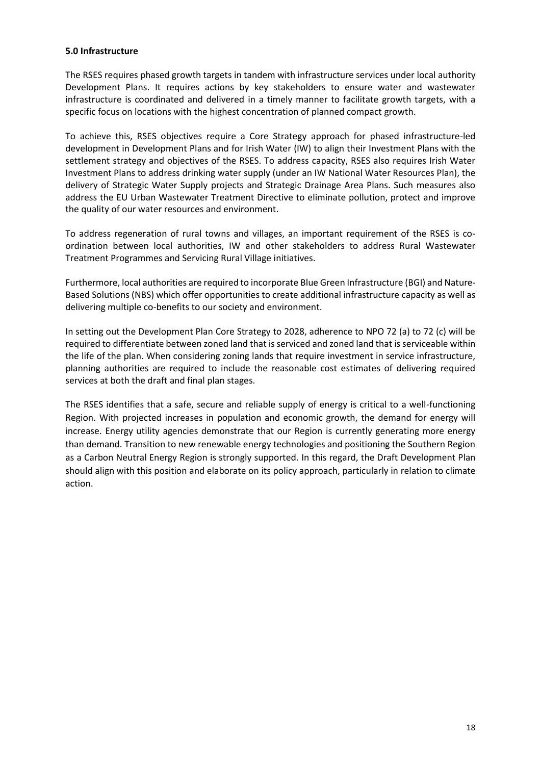### **5.0 Infrastructure**

The RSES requires phased growth targets in tandem with infrastructure services under local authority Development Plans. It requires actions by key stakeholders to ensure water and wastewater infrastructure is coordinated and delivered in a timely manner to facilitate growth targets, with a specific focus on locations with the highest concentration of planned compact growth.

To achieve this, RSES objectives require a Core Strategy approach for phased infrastructure-led development in Development Plans and for Irish Water (IW) to align their Investment Plans with the settlement strategy and objectives of the RSES. To address capacity, RSES also requires Irish Water Investment Plans to address drinking water supply (under an IW National Water Resources Plan), the delivery of Strategic Water Supply projects and Strategic Drainage Area Plans. Such measures also address the EU Urban Wastewater Treatment Directive to eliminate pollution, protect and improve the quality of our water resources and environment.

To address regeneration of rural towns and villages, an important requirement of the RSES is coordination between local authorities, IW and other stakeholders to address Rural Wastewater Treatment Programmes and Servicing Rural Village initiatives.

Furthermore, local authorities are required to incorporate Blue Green Infrastructure (BGI) and Nature-Based Solutions (NBS) which offer opportunities to create additional infrastructure capacity as well as delivering multiple co-benefits to our society and environment.

In setting out the Development Plan Core Strategy to 2028, adherence to NPO 72 (a) to 72 (c) will be required to differentiate between zoned land that is serviced and zoned land that is serviceable within the life of the plan. When considering zoning lands that require investment in service infrastructure, planning authorities are required to include the reasonable cost estimates of delivering required services at both the draft and final plan stages.

The RSES identifies that a safe, secure and reliable supply of energy is critical to a well-functioning Region. With projected increases in population and economic growth, the demand for energy will increase. Energy utility agencies demonstrate that our Region is currently generating more energy than demand. Transition to new renewable energy technologies and positioning the Southern Region as a Carbon Neutral Energy Region is strongly supported. In this regard, the Draft Development Plan should align with this position and elaborate on its policy approach, particularly in relation to climate action.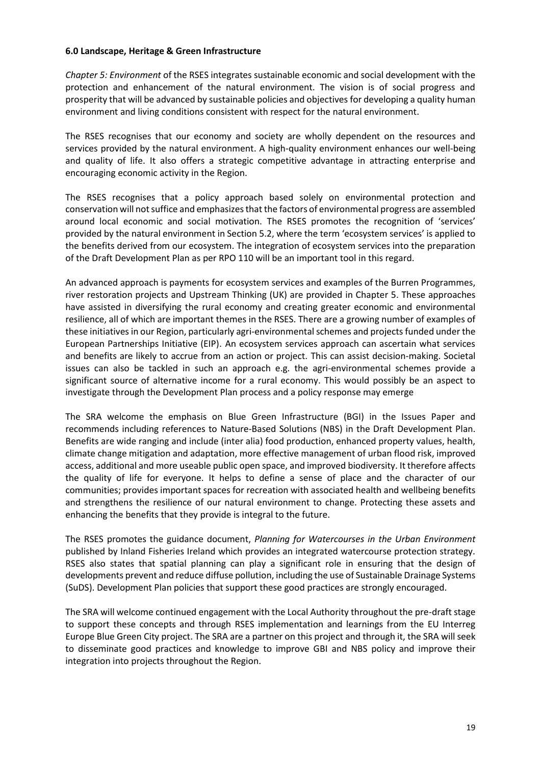### **6.0 Landscape, Heritage & Green Infrastructure**

*Chapter 5: Environment* of the RSES integrates sustainable economic and social development with the protection and enhancement of the natural environment. The vision is of social progress and prosperity that will be advanced by sustainable policies and objectives for developing a quality human environment and living conditions consistent with respect for the natural environment.

The RSES recognises that our economy and society are wholly dependent on the resources and services provided by the natural environment. A high-quality environment enhances our well-being and quality of life. It also offers a strategic competitive advantage in attracting enterprise and encouraging economic activity in the Region.

The RSES recognises that a policy approach based solely on environmental protection and conservation will not suffice and emphasizes that the factors of environmental progress are assembled around local economic and social motivation. The RSES promotes the recognition of 'services' provided by the natural environment in Section 5.2, where the term 'ecosystem services' is applied to the benefits derived from our ecosystem. The integration of ecosystem services into the preparation of the Draft Development Plan as per RPO 110 will be an important tool in this regard.

An advanced approach is payments for ecosystem services and examples of the Burren Programmes, river restoration projects and Upstream Thinking (UK) are provided in Chapter 5. These approaches have assisted in diversifying the rural economy and creating greater economic and environmental resilience, all of which are important themes in the RSES. There are a growing number of examples of these initiatives in our Region, particularly agri-environmental schemes and projects funded under the European Partnerships Initiative (EIP). An ecosystem services approach can ascertain what services and benefits are likely to accrue from an action or project. This can assist decision-making. Societal issues can also be tackled in such an approach e.g. the agri-environmental schemes provide a significant source of alternative income for a rural economy. This would possibly be an aspect to investigate through the Development Plan process and a policy response may emerge

The SRA welcome the emphasis on Blue Green Infrastructure (BGI) in the Issues Paper and recommends including references to Nature-Based Solutions (NBS) in the Draft Development Plan. Benefits are wide ranging and include (inter alia) food production, enhanced property values, health, climate change mitigation and adaptation, more effective management of urban flood risk, improved access, additional and more useable public open space, and improved biodiversity. It therefore affects the quality of life for everyone. It helps to define a sense of place and the character of our communities; provides important spaces for recreation with associated health and wellbeing benefits and strengthens the resilience of our natural environment to change. Protecting these assets and enhancing the benefits that they provide is integral to the future.

The RSES promotes the guidance document, *Planning for Watercourses in the Urban Environment* published by Inland Fisheries Ireland which provides an integrated watercourse protection strategy. RSES also states that spatial planning can play a significant role in ensuring that the design of developments prevent and reduce diffuse pollution, including the use of Sustainable Drainage Systems (SuDS). Development Plan policies that support these good practices are strongly encouraged.

The SRA will welcome continued engagement with the Local Authority throughout the pre-draft stage to support these concepts and through RSES implementation and learnings from the EU Interreg Europe Blue Green City project. The SRA are a partner on this project and through it, the SRA will seek to disseminate good practices and knowledge to improve GBI and NBS policy and improve their integration into projects throughout the Region.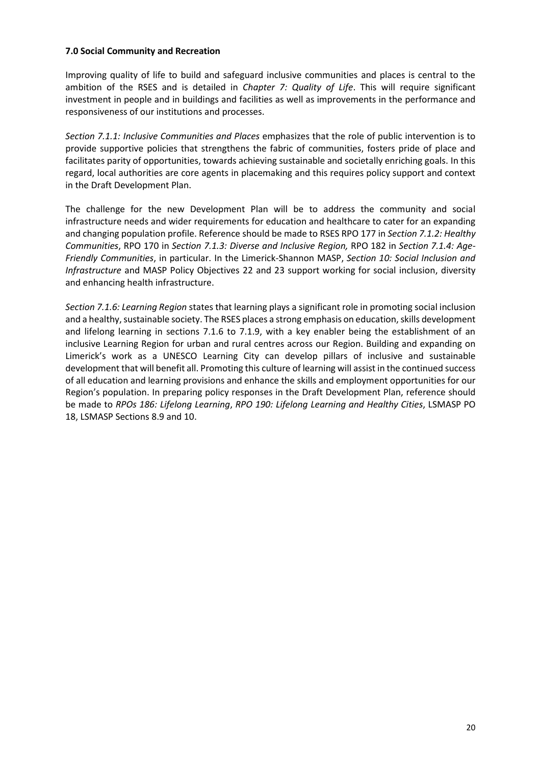### **7.0 Social Community and Recreation**

Improving quality of life to build and safeguard inclusive communities and places is central to the ambition of the RSES and is detailed in *Chapter 7: Quality of Life*. This will require significant investment in people and in buildings and facilities as well as improvements in the performance and responsiveness of our institutions and processes.

*Section 7.1.1: Inclusive Communities and Places* emphasizes that the role of public intervention is to provide supportive policies that strengthens the fabric of communities, fosters pride of place and facilitates parity of opportunities, towards achieving sustainable and societally enriching goals. In this regard, local authorities are core agents in placemaking and this requires policy support and context in the Draft Development Plan.

The challenge for the new Development Plan will be to address the community and social infrastructure needs and wider requirements for education and healthcare to cater for an expanding and changing population profile. Reference should be made to RSES RPO 177 in *Section 7.1.2: Healthy Communities*, RPO 170 in *Section 7.1.3: Diverse and Inclusive Region,* RPO 182 in *Section 7.1.4: Age-Friendly Communities*, in particular. In the Limerick-Shannon MASP, *Section 10: Social Inclusion and Infrastructure* and MASP Policy Objectives 22 and 23 support working for social inclusion, diversity and enhancing health infrastructure.

*Section 7.1.6: Learning Region* states that learning plays a significant role in promoting social inclusion and a healthy, sustainable society. The RSES places a strong emphasis on education, skills development and lifelong learning in sections 7.1.6 to 7.1.9, with a key enabler being the establishment of an inclusive Learning Region for urban and rural centres across our Region. Building and expanding on Limerick's work as a UNESCO Learning City can develop pillars of inclusive and sustainable development that will benefit all. Promoting this culture of learning will assist in the continued success of all education and learning provisions and enhance the skills and employment opportunities for our Region's population. In preparing policy responses in the Draft Development Plan, reference should be made to *RPOs 186: Lifelong Learning*, *RPO 190: Lifelong Learning and Healthy Cities*, LSMASP PO 18, LSMASP Sections 8.9 and 10.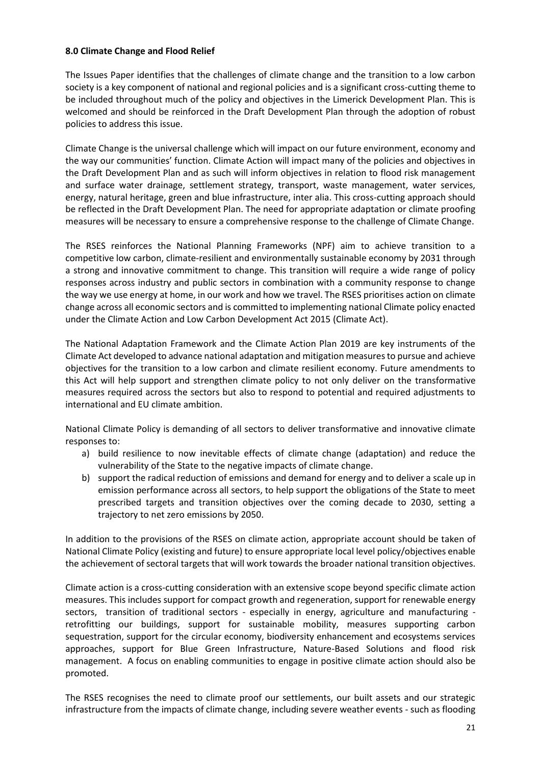### **8.0 Climate Change and Flood Relief**

The Issues Paper identifies that the challenges of climate change and the transition to a low carbon society is a key component of national and regional policies and is a significant cross-cutting theme to be included throughout much of the policy and objectives in the Limerick Development Plan. This is welcomed and should be reinforced in the Draft Development Plan through the adoption of robust policies to address this issue.

Climate Change is the universal challenge which will impact on our future environment, economy and the way our communities' function. Climate Action will impact many of the policies and objectives in the Draft Development Plan and as such will inform objectives in relation to flood risk management and surface water drainage, settlement strategy, transport, waste management, water services, energy, natural heritage, green and blue infrastructure, inter alia. This cross-cutting approach should be reflected in the Draft Development Plan. The need for appropriate adaptation or climate proofing measures will be necessary to ensure a comprehensive response to the challenge of Climate Change.

The RSES reinforces the National Planning Frameworks (NPF) aim to achieve transition to a competitive low carbon, climate-resilient and environmentally sustainable economy by 2031 through a strong and innovative commitment to change. This transition will require a wide range of policy responses across industry and public sectors in combination with a community response to change the way we use energy at home, in our work and how we travel. The RSES prioritises action on climate change across all economic sectors and is committed to implementing national Climate policy enacted under the [Climate Action and Low Carbon Development Act 2015 \(](http://www.irishstatutebook.ie/eli/2015/act/46/enacted/en/html)Climate Act).

The National Adaptation Framework and the Climate Action Plan 2019 are key instruments of the Climate Act developed to advance national adaptation and mitigation measures to pursue and achieve objectives for the transition to a low carbon and climate resilient economy. Future amendments to this Act will help support and strengthen climate policy to not only deliver on the transformative measures required across the sectors but also to respond to potential and required adjustments to international and EU climate ambition.

National Climate Policy is demanding of all sectors to deliver transformative and innovative climate responses to:

- a) build resilience to now inevitable effects of climate change (adaptation) and reduce the vulnerability of the State to the negative impacts of climate change.
- b) support the radical reduction of emissions and demand for energy and to deliver a scale up in emission performance across all sectors, to help support the obligations of the State to meet prescribed targets and transition objectives over the coming decade to 2030, setting a trajectory to net zero emissions by 2050.

In addition to the provisions of the RSES on climate action, appropriate account should be taken of National Climate Policy (existing and future) to ensure appropriate local level policy/objectives enable the achievement of sectoral targets that will work towards the broader national transition objectives.

Climate action is a cross-cutting consideration with an extensive scope beyond specific climate action measures. This includes support for compact growth and regeneration, support for renewable energy sectors, transition of traditional sectors - especially in energy, agriculture and manufacturing retrofitting our buildings, support for sustainable mobility, measures supporting carbon sequestration, support for the circular economy, biodiversity enhancement and ecosystems services approaches, support for Blue Green Infrastructure, Nature-Based Solutions and flood risk management. A focus on enabling communities to engage in positive climate action should also be promoted.

The RSES recognises the need to climate proof our settlements, our built assets and our strategic infrastructure from the impacts of climate change, including severe weather events - such as flooding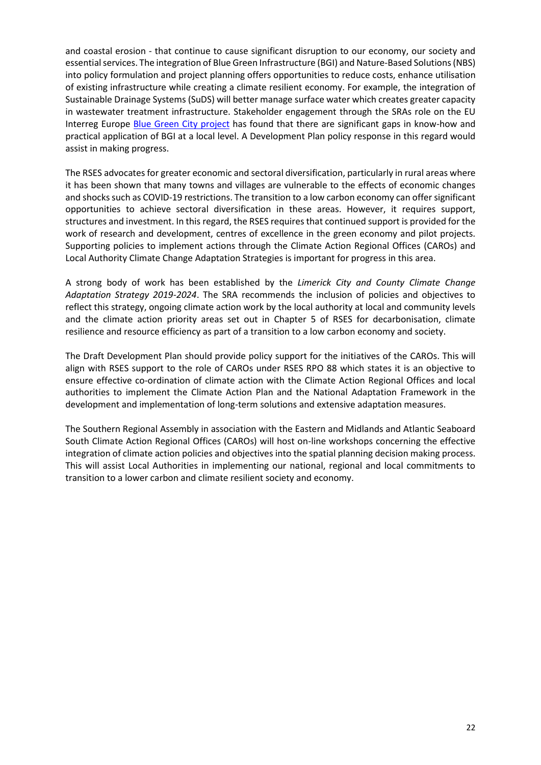and coastal erosion - that continue to cause significant disruption to our economy, our society and essential services. The integration of Blue Green Infrastructure (BGI) and Nature-Based Solutions(NBS) into policy formulation and project planning offers opportunities to reduce costs, enhance utilisation of existing infrastructure while creating a climate resilient economy. For example, the integration of Sustainable Drainage Systems (SuDS) will better manage surface water which creates greater capacity in wastewater treatment infrastructure. Stakeholder engagement through the SRAs role on the EU Interreg Europe [Blue Green City project](https://www.interregeurope.eu/bluegreencity/) has found that there are significant gaps in know-how and practical application of BGI at a local level. A Development Plan policy response in this regard would assist in making progress.

The RSES advocates for greater economic and sectoral diversification, particularly in rural areas where it has been shown that many towns and villages are vulnerable to the effects of economic changes and shocks such as COVID-19 restrictions. The transition to a low carbon economy can offer significant opportunities to achieve sectoral diversification in these areas. However, it requires support, structures and investment. In this regard, the RSES requires that continued support is provided for the work of research and development, centres of excellence in the green economy and pilot projects. Supporting policies to implement actions through the Climate Action Regional Offices (CAROs) and Local Authority Climate Change Adaptation Strategies is important for progress in this area.

A strong body of work has been established by the *Limerick City and County Climate Change Adaptation Strategy 2019-2024*. The SRA recommends the inclusion of policies and objectives to reflect this strategy, ongoing climate action work by the local authority at local and community levels and the climate action priority areas set out in Chapter 5 of RSES for decarbonisation, climate resilience and resource efficiency as part of a transition to a low carbon economy and society.

The Draft Development Plan should provide policy support for the initiatives of the CAROs. This will align with RSES support to the role of CAROs under RSES RPO 88 which states it is an objective to ensure effective co-ordination of climate action with the Climate Action Regional Offices and local authorities to implement the Climate Action Plan and the National Adaptation Framework in the development and implementation of long-term solutions and extensive adaptation measures.

The Southern Regional Assembly in association with the Eastern and Midlands and Atlantic Seaboard South Climate Action Regional Offices (CAROs) will host on-line workshops concerning the effective integration of climate action policies and objectives into the spatial planning decision making process. This will assist Local Authorities in implementing our national, regional and local commitments to transition to a lower carbon and climate resilient society and economy.